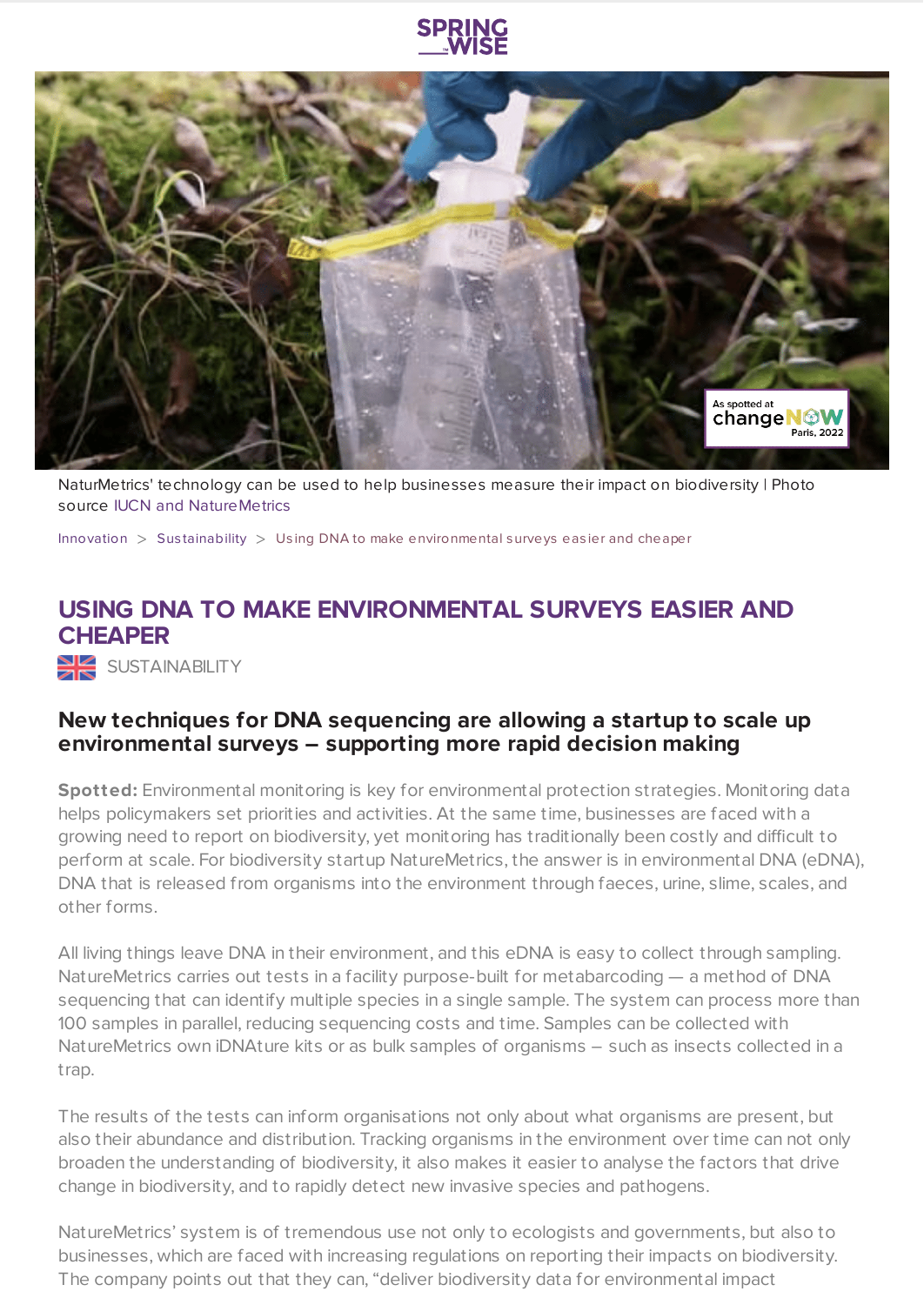



NaturMetrics' technology can be used to help businesses measure their impact on biodiversity | Photo source IUCN and [NatureMetrics](https://www.naturemetrics.co.uk/)

[Innovation](https://www.springwise.com/search?type=innovation)  $>$  Sus[tainability](https://www.springwise.com/search?type=innovation§or=sustainability)  $>$  Using DNA to make environmental surveys easier and cheaper

## **USING DNA TO MAKE ENVIRONMENTAL SURVEYS EASIER AND CHEAPER**

SUSTAINABILITY

## **New techniques for DNA sequencing are allowing a startup to scale up environmental surveys – supporting more rapid decision making**

**Spotted:** Environmental monitoring is key for environmental protection strategies. Monitoring data helps policymakers set priorities and activities. At the same time, businesses are faced with a growing need to report on biodiversity, yet monitoring has traditionally been costly and difficult to perform at scale. For biodiversity startup NatureMetrics, the answer is in environmental DNA (eDNA), DNA that is released from organisms into the environment through faeces, urine, slime, scales, and other forms.

All living things leave DNA in their environment, and this eDNA is easy to collect through sampling. NatureMetrics carries out tests in a facility purpose-built for metabarcoding — a method of DNA sequencing that can identify multiple species in a single sample. The system can process more than 100 samples in parallel, reducing sequencing costs and time. Samples can be collected with NatureMetrics own iDNAture kits or as bulk samples of organisms – such as insects collected in a trap.

The results of the tests can inform organisations not only about what organisms are present, but also their abundance and distribution. Tracking organisms in the environment over time can not only broaden the understanding of biodiversity, it also makes it easier to analyse the factors that drive change in biodiversity, and to rapidly detect new invasive species and pathogens.

NatureMetrics' system is of tremendous use not only to ecologists and governments, but also to businesses, which are faced with increasing regulations on reporting their impacts on biodiversity. The company points out that they can, "deliver biodiversity data for environmental impact